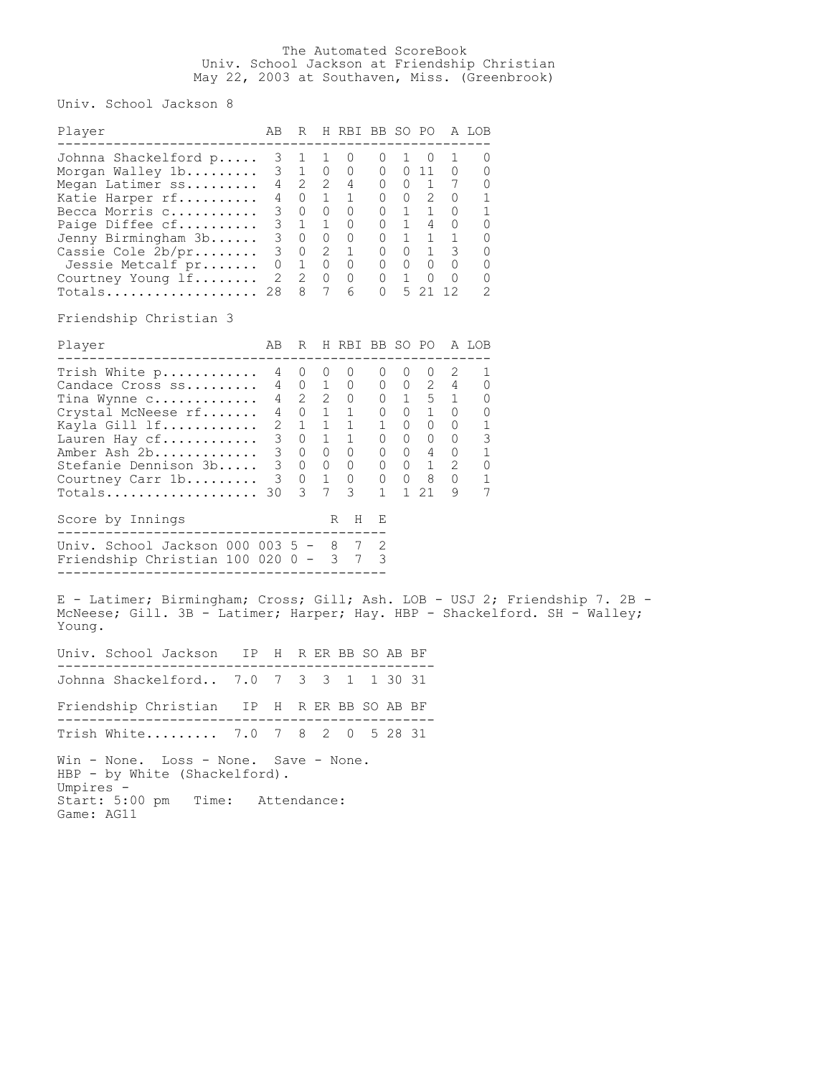## The Automated ScoreBook Univ. School Jackson at Friendship Christian May 22, 2003 at Southaven, Miss. (Greenbrook)

Univ. School Jackson 8

| Player                                                                                                                                                                                                                                                                   |  | AB R H RBI BB SO PO A LOB |  |  |                           |  |
|--------------------------------------------------------------------------------------------------------------------------------------------------------------------------------------------------------------------------------------------------------------------------|--|---------------------------|--|--|---------------------------|--|
| ------------------------------------<br>Johnna Shackelford p 3 1 1 0 0 1 0 1<br>Johnna Shackelford p 3 1 1 0 0 1 0 1 0<br>Morgan Walley 1b 3 1 0 0 0 0 0 11 0 0<br>Megan Latimer ss 4 2 2 4 0 0 1 7 0<br>Katie Harper rf 4 0 1 1 0 0 2 0 1<br>Becca Morris c 3 0 0 0 0 0 |  |                           |  |  | ------------------<br>0   |  |
| Friendship Christian 3                                                                                                                                                                                                                                                   |  |                           |  |  |                           |  |
| Player                                                                                                                                                                                                                                                                   |  |                           |  |  | AB R H RBI BB SO PO A LOB |  |
| Totals 30 3 7 3 1 1 21 9                                                                                                                                                                                                                                                 |  |                           |  |  | 7                         |  |
| Score by Innings                                                                                                                                                                                                                                                         |  | R H E                     |  |  |                           |  |
| Univ. School Jackson 000 003 5 - 8 7 2<br>Friendship Christian 100 020 0 - 3 7 3<br>E - Latimer; Birmingham; Cross; Gill; Ash. LOB - USJ 2; Friendship 7. 2B -                                                                                                           |  |                           |  |  |                           |  |
| McNeese; Gill. 3B - Latimer; Harper; Hay. HBP - Shackelford. SH - Walley;<br>Young.                                                                                                                                                                                      |  |                           |  |  |                           |  |
| Univ. School Jackson IP H R ER BB SO AB BF                                                                                                                                                                                                                               |  |                           |  |  |                           |  |
| Johnna Shackelford 7.0 7 3 3 1 1 30 31                                                                                                                                                                                                                                   |  |                           |  |  |                           |  |
| Friendship Christian IP H R ER BB SO AB BF                                                                                                                                                                                                                               |  |                           |  |  |                           |  |
| Trish White 7.0 7 8 2 0 5 28 31                                                                                                                                                                                                                                          |  |                           |  |  |                           |  |
| Win - None. Loss - None. Save - None.<br>HBP - by White (Shackelford).<br>Umpires -<br>Start: 5:00 pm Time: Attendance:<br>Game: AG11                                                                                                                                    |  |                           |  |  |                           |  |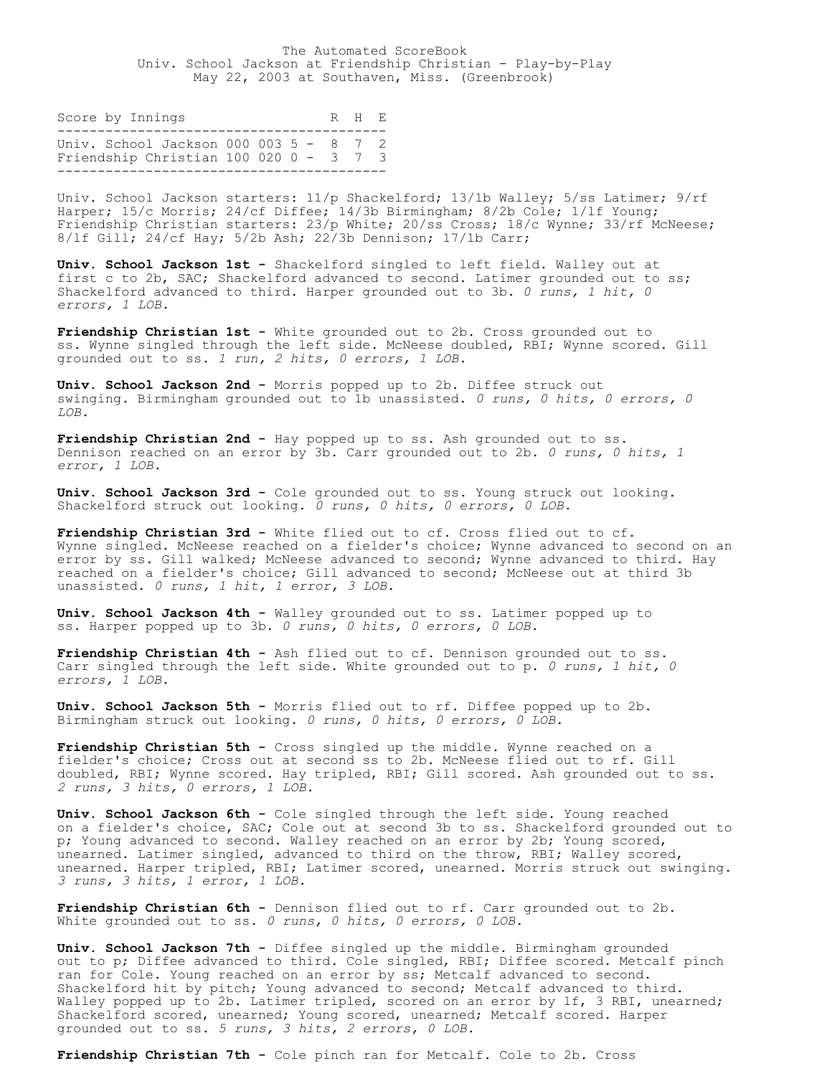The Automated ScoreBook Univ. School Jackson at Friendship Christian - Play-by-Play May 22, 2003 at Southaven, Miss. (Greenbrook)

Score by Innings R H E ----------------------------------------- Univ. School Jackson 000 003 5 - 8 7 2 Friendship Christian 100 020 0 - 3 7 3 -----------------------------------------

Univ. School Jackson starters:  $11/p$  Shackelford; 13/1b Walley; 5/ss Latimer; 9/rf Harper; 15/c Morris; 24/cf Diffee; 14/3b Birmingham; 8/2b Cole; 1/lf Young; Friendship Christian starters: 23/p White; 20/ss Cross; 18/c Wynne; 33/rf McNeese; 8/lf Gill; 24/cf Hay; 5/2b Ash; 22/3b Dennison; 17/1b Carr;

**Univ. School Jackson 1st -** Shackelford singled to left field. Walley out at first c to 2b, SAC; Shackelford advanced to second. Latimer grounded out to ss; Shackelford advanced to third. Harper grounded out to 3b. *0 runs, 1 hit, 0 errors, 1 LOB.*

**Friendship Christian 1st -** White grounded out to 2b. Cross grounded out to ss. Wynne singled through the left side. McNeese doubled, RBI; Wynne scored. Gill grounded out to ss. *1 run, 2 hits, 0 errors, 1 LOB.*

**Univ. School Jackson 2nd -** Morris popped up to 2b. Diffee struck out swinging. Birmingham grounded out to 1b unassisted. *0 runs, 0 hits, 0 errors, 0 LOB.*

**Friendship Christian 2nd -** Hay popped up to ss. Ash grounded out to ss. Dennison reached on an error by 3b. Carr grounded out to 2b. *0 runs, 0 hits, 1 error, 1 LOB.*

**Univ. School Jackson 3rd -** Cole grounded out to ss. Young struck out looking. Shackelford struck out looking. *0 runs, 0 hits, 0 errors, 0 LOB.*

**Friendship Christian 3rd -** White flied out to cf. Cross flied out to cf. Wynne singled. McNeese reached on a fielder's choice; Wynne advanced to second on an error by ss. Gill walked; McNeese advanced to second; Wynne advanced to third. Hay reached on a fielder's choice; Gill advanced to second; McNeese out at third 3b unassisted. *0 runs, 1 hit, 1 error, 3 LOB.*

**Univ. School Jackson 4th -** Walley grounded out to ss. Latimer popped up to ss. Harper popped up to 3b. *0 runs, 0 hits, 0 errors, 0 LOB.*

**Friendship Christian 4th -** Ash flied out to cf. Dennison grounded out to ss. Carr singled through the left side. White grounded out to p. *0 runs, 1 hit, 0 errors, 1 LOB.*

**Univ. School Jackson 5th -** Morris flied out to rf. Diffee popped up to 2b. Birmingham struck out looking. *0 runs, 0 hits, 0 errors, 0 LOB.*

**Friendship Christian 5th -** Cross singled up the middle. Wynne reached on a fielder's choice; Cross out at second ss to 2b. McNeese flied out to rf. Gill doubled, RBI; Wynne scored. Hay tripled, RBI; Gill scored. Ash grounded out to ss. *2 runs, 3 hits, 0 errors, 1 LOB.*

**Univ. School Jackson 6th -** Cole singled through the left side. Young reached on a fielder's choice, SAC; Cole out at second 3b to ss. Shackelford grounded out to p; Young advanced to second. Walley reached on an error by 2b; Young scored, unearned. Latimer singled, advanced to third on the throw, RBI; Walley scored, unearned. Harper tripled, RBI; Latimer scored, unearned. Morris struck out swinging. *3 runs, 3 hits, 1 error, 1 LOB.*

**Friendship Christian 6th -** Dennison flied out to rf. Carr grounded out to 2b. White grounded out to ss. *0 runs, 0 hits, 0 errors, 0 LOB.*

**Univ. School Jackson 7th -** Diffee singled up the middle. Birmingham grounded out to p; Diffee advanced to third. Cole singled, RBI; Diffee scored. Metcalf pinch ran for Cole. Young reached on an error by ss; Metcalf advanced to second. Shackelford hit by pitch; Young advanced to second; Metcalf advanced to third. Walley popped up to 2b. Latimer tripled, scored on an error by 1f, 3 RBI, unearned; Shackelford scored, unearned; Young scored, unearned; Metcalf scored. Harper grounded out to ss. *5 runs, 3 hits, 2 errors, 0 LOB.*

**Friendship Christian 7th -** Cole pinch ran for Metcalf. Cole to 2b. Cross